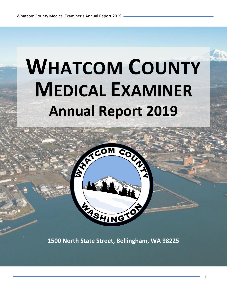# **WHATCOM COUNTY MEDICAL EXAMINER Annual Report 2019**



**1500 North State Street, Bellingham, WA 98225**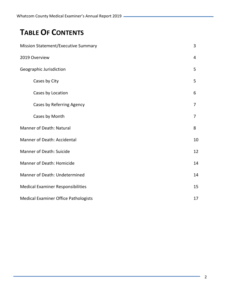# **TABLE OF CONTENTS**

| <b>Mission Statement/Executive Summary</b>  |                |  |  |  |
|---------------------------------------------|----------------|--|--|--|
| 2019 Overview                               | 4              |  |  |  |
| Geographic Jurisdiction                     | 5              |  |  |  |
| Cases by City                               | 5              |  |  |  |
| Cases by Location                           | 6              |  |  |  |
| Cases by Referring Agency                   | $\overline{7}$ |  |  |  |
| Cases by Month                              | $\overline{7}$ |  |  |  |
| <b>Manner of Death: Natural</b>             | 8              |  |  |  |
| Manner of Death: Accidental                 | 10             |  |  |  |
| <b>Manner of Death: Suicide</b>             |                |  |  |  |
| <b>Manner of Death: Homicide</b>            |                |  |  |  |
| Manner of Death: Undetermined               |                |  |  |  |
| <b>Medical Examiner Responsibilities</b>    |                |  |  |  |
| <b>Medical Examiner Office Pathologists</b> |                |  |  |  |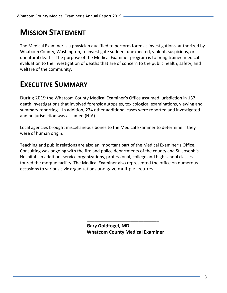# **MISSION STATEMENT**

The Medical Examiner is a physician qualified to perform forensic investigations, authorized by Whatcom County, Washington, to investigate sudden, unexpected, violent, suspicious, or unnatural deaths. The purpose of the Medical Examiner program is to bring trained medical evaluation to the investigation of deaths that are of concern to the public health, safety, and welfare of the community.

# **EXECUTIVE SUMMARY**

During 2019 the Whatcom County Medical Examiner's Office assumed jurisdiction in 137 death investigations that involved forensic autopsies, toxicological examinations, viewing and summary reporting. In addition, 274 other additional cases were reported and investigated and no jurisdiction was assumed (NJA).

Local agencies brought miscellaneous bones to the Medical Examiner to determine if they were of human origin.

Teaching and public relations are also an important part of the Medical Examiner's Office. Consulting was ongoing with the fire and police departments of the county and St. Joseph's Hospital. In addition, service organizations, professional, college and high school classes toured the morgue facility. The Medical Examiner also represented the office on numerous occasions to various civic organizations and gave multiple lectures.

> **Gary Goldfogel, MD Whatcom County Medical Examiner**

\_\_\_\_\_\_\_\_\_\_\_\_\_\_\_\_\_\_\_\_\_\_\_\_\_\_\_\_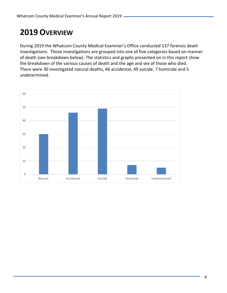# **2019 OVERVIEW**

During 2019 the Whatcom County Medical Examiner's Office conducted 137 forensic death investigations. Those investigations are grouped into one of five categories based on manner of death (see breakdown below). The statistics and graphs presented on in this report show the breakdown of the various causes of death and the age and sex of those who died. There were 30 investigated natural deaths, 46 accidental, 49 suicide, 7 homicide and 5 undetermined.

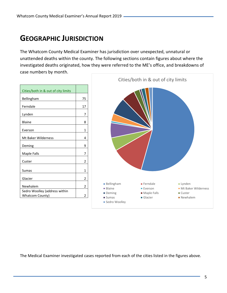# **GEOGRAPHIC JURISDICTION**

The Whatcom County Medical Examiner has jurisdiction over unexpected, unnatural or unattended deaths within the county. The following sections contain figures about where the investigated deaths originated, how they were referred to the ME's office, and breakdowns of case numbers by month.

|                                                                         |                            | Cities/both in & out of city limits |                                           |                                 |
|-------------------------------------------------------------------------|----------------------------|-------------------------------------|-------------------------------------------|---------------------------------|
| Cities/both in & out of city limits<br>Bellingham<br>Ferndale<br>Lynden | 75<br>17<br>$\overline{7}$ |                                     |                                           |                                 |
| <b>Blaine</b>                                                           | 8                          |                                     |                                           |                                 |
| Everson                                                                 | 1                          |                                     |                                           |                                 |
| Mt Baker Wilderness                                                     | 4                          |                                     |                                           |                                 |
| Deming                                                                  | 9                          |                                     |                                           |                                 |
| Maple Falls                                                             | 7                          |                                     |                                           |                                 |
| Custer                                                                  | $\overline{2}$             |                                     |                                           |                                 |
| Sumas                                                                   | 1                          |                                     |                                           |                                 |
| Glacier                                                                 | $\overline{2}$             |                                     |                                           |                                 |
| Newhalem                                                                | $\overline{2}$             | <b>Bellingham</b><br><b>Blaine</b>  | $\blacksquare$ Ferndale<br><b>Everson</b> | Lynden<br>• Mt Baker Wilderness |
| Sedro Woolley (address within<br><b>Whatcom County)</b>                 | $\overline{2}$             | Deming<br>$\blacksquare$ Sumas      | Maple Falls<br>$\blacksquare$ Glacier     | ■ Custer<br>• Newhalem          |
|                                                                         |                            | Sedro Woolley                       |                                           |                                 |

The Medical Examiner investigated cases reported from each of the cities listed in the figures above.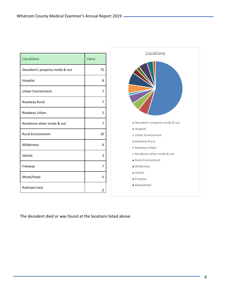| Locations                        | Value |
|----------------------------------|-------|
| Decedent's property inside & out | 75    |
| Hospital                         | 8     |
| <b>Urban Environment</b>         | 7     |
| Roadway Rural                    | 7     |
| Roadway Urban                    | 2     |
| Residence-other inside & out     | 7     |
| <b>Rural Environment</b>         | 10    |
| Wilderness                       | 4     |
| Jobsite                          | 3     |
| Freeway                          | 7     |
| Motel/hotel                      | 5     |
| Railroad track                   | 2     |



The decedent died or was found at the locations listed above.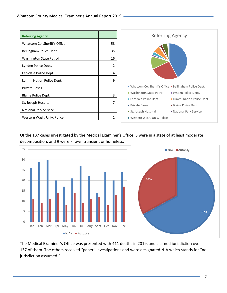

Of the 137 cases investigated by the Medical Examiner's Office, 8 were in a state of at least moderate decomposition, and 9 were known transient or homeless.



The Medical Examiner's Office was presented with 411 deaths in 2019, and claimed jurisdiction over 137 of them. The others received "paper" investigations and were designated NJA which stands for "no jurisdiction assumed."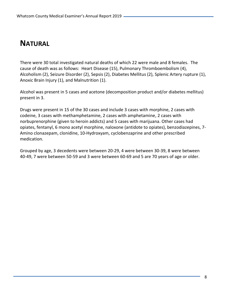## **NATURAL**

There were 30 total investigated natural deaths of which 22 were male and 8 females. The cause of death was as follows: Heart Disease (15), Pulmonary Thromboembolism (4), Alcoholism (2), Seizure Disorder (2), Sepsis (2), Diabetes Mellitus (2), Splenic Artery rupture (1), Anoxic Brain Injury (1), and Malnutrition (1).

Alcohol was present in 5 cases and acetone (decomposition product and/or diabetes mellitus) present in 3.

Drugs were present in 15 of the 30 cases and include 3 cases with morphine, 2 cases with codeine, 3 cases with methamphetamine, 2 cases with amphetamine, 2 cases with norbuprenorphine (given to heroin addicts) and 5 cases with marijuana. Other cases had opiates, fentanyl, 6 mono acetyl morphine, naloxone (antidote to opiates), benzodiazepines, 7- Amino clonazepam, clonidine, 10-Hydroxyam, cyclobenzaprine and other prescribed medication.

Grouped by age, 3 decedents were between 20-29, 4 were between 30-39, 8 were between 40-49, 7 were between 50-59 and 3 were between 60-69 and 5 are 70 years of age or older.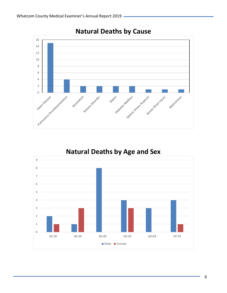





## **Natural Deaths by Age and Sex**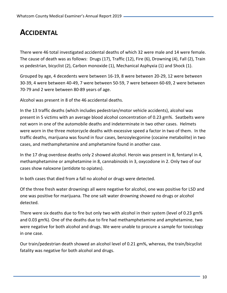## **ACCIDENTAL**

There were 46 total investigated accidental deaths of which 32 were male and 14 were female. The cause of death was as follows: Drugs (17), Traffic (12), Fire (6), Drowning (4), Fall (2), Train vs pedestrian, bicyclist (2), Carbon monoxide (1), Mechanical Asphyxia (1) and Shock (1).

Grouped by age, 4 decedents were between 16-19, 8 were between 20-29, 12 were between 30-39, 4 were between 40-49, 7 were between 50-59, 7 were between 60-69, 2 were between 70-79 and 2 were between 80-89 years of age.

Alcohol was present in 8 of the 46 accidental deaths.

In the 13 traffic deaths (which includes pedestrian/motor vehicle accidents), alcohol was present in 5 victims with an average blood alcohol concentration of 0.23 gm%. Seatbelts were not worn in one of the automobile deaths and indeterminate in two other cases. Helmets were worn in the three motorcycle deaths with excessive speed a factor in two of them. In the traffic deaths, marijuana was found in four cases, benzoylecgonine (cocaine metabolite) in two cases, and methamphetamine and amphetamine found in another case.

In the 17 drug overdose deaths only 2 showed alcohol. Heroin was present in 8, fentanyl in 4, methamphetamine or amphetamine in 8, cannabinoids in 3, oxycodone in 2. Only two of our cases show naloxone (antidote to opiates).

In both cases that died from a fall no alcohol or drugs were detected.

Of the three fresh water drownings all were negative for alcohol, one was positive for LSD and one was positive for marijuana. The one salt water drowning showed no drugs or alcohol detected.

There were six deaths due to fire but only two with alcohol in their system (level of 0.23 gm% and 0.03 gm%). One of the deaths due to fire had methamphetamine and amphetamine, two were negative for both alcohol and drugs. We were unable to procure a sample for toxicology in one case.

Our train/pedestrian death showed an alcohol level of 0.21 gm%, whereas, the train/bicyclist fatality was negative for both alcohol and drugs.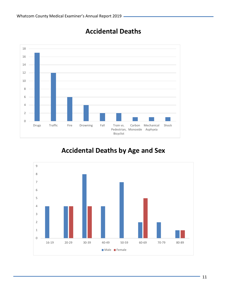

## **Accidental Deaths**

## **Accidental Deaths by Age and Sex**

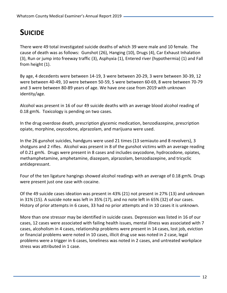# **SUICIDE**

There were 49 total investigated suicide deaths of which 39 were male and 10 female. The cause of death was as follows: Gunshot (26), Hanging (10), Drugs (4), Car Exhaust Inhalation (3), Run or jump into freeway traffic (3), Asphyxia (1), Entered river (hypothermia) (1) and Fall from height (1).

By age, 4 decedents were between 14-19, 3 were between 20-29, 3 were between 30-39, 12 were between 40-49, 10 were between 50-59, 5 were between 60-69, 8 were between 70-79 and 3 were between 80-89 years of age. We have one case from 2019 with unknown identity/age.

Alcohol was present in 16 of our 49 suicide deaths with an average blood alcohol reading of 0.18 gm%. Toxicology is pending on two cases.

In the drug overdose death, prescription glycemic medication, benzodiazepine, prescription opiate, morphine, oxycodone, alprazolam, and marijuana were used.

In the 26 gunshot suicides, handguns were used 21 times (13 semiauto and 8 revolvers), 3 shotguns and 2 rifles. Alcohol was present in 8 of the gunshot victims with an average reading of 0.21 gm%. Drugs were present in 8 cases and includes oxycodone, hydrocodone, opiates, methamphetamine, amphetamine, diazepam, alprazolam, benzodiazepine, and tricyclic antidepressant.

Four of the ten ligature hangings showed alcohol readings with an average of 0.18 gm%. Drugs were present just one case with cocaine.

Of the 49 suicide cases ideation was present in 43% (21) not present in 27% (13) and unknown in 31% (15). A suicide note was left in 35% (17), and no note left in 65% (32) of our cases. History of prior attempts in 6 cases, 33 had no prior attempts and in 10 cases it is unknown.

More than one stressor may be identified in suicide cases. Depression was listed in 16 of our cases, 12 cases were associated with failing health issues, mental illness was associated with 7 cases, alcoholism in 4 cases, relationship problems were present in 14 cases, lost job, eviction or financial problems were noted in 10 cases, illicit drug use was noted in 2 case, legal problems were a trigger in 6 cases, loneliness was noted in 2 cases, and untreated workplace stress was attributed in 1 case.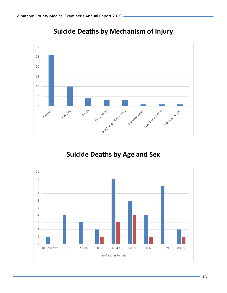

## **Suicide Deaths by Mechanism of Injury**

## **Suicide Deaths by Age and Sex**

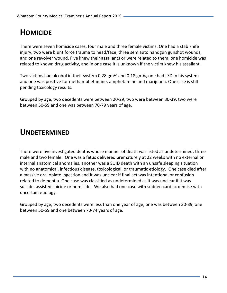# **HOMICIDE**

There were seven homicide cases, four male and three female victims. One had a stab knife injury, two were blunt force trauma to head/face, three semiauto handgun gunshot wounds, and one revolver wound. Five knew their assailants or were related to them, one homicide was related to known drug activity, and in one case it is unknown if the victim knew his assailant.

Two victims had alcohol in their system 0.28 gm% and 0.18 gm%, one had LSD in his system and one was positive for methamphetamine, amphetamine and marijuana. One case is still pending toxicology results.

Grouped by age, two decedents were between 20-29, two were between 30-39, two were between 50-59 and one was between 70-79 years of age.

## **UNDETERMINED**

There were five investigated deaths whose manner of death was listed as undetermined, three male and two female. One was a fetus delivered prematurely at 22 weeks with no external or internal anatomical anomalies, another was a SUID death with an unsafe sleeping situation with no anatomical, infectious disease, toxicological, or traumatic etiology. One case died after a massive oral opiate ingestion and it was unclear if final act was intentional or confusion related to dementia. One case was classified as undetermined as it was unclear if it was suicide, assisted suicide or homicide. We also had one case with sudden cardiac demise with uncertain etiology.

Grouped by age, two decedents were less than one year of age, one was between 30-39, one between 50-59 and one between 70-74 years of age.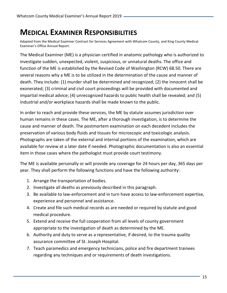## **MEDICAL EXAMINER RESPONSIBILITIES**

Adapted from the Medical Examiner Contract for Services Agreement with Whatcom County, and King County Medical Examiner's Office Annual Report.

The Medical Examiner (ME) is a physician certified in anatomic pathology who is authorized to investigate sudden, unexpected, violent, suspicious, or unnatural deaths. The office and function of the ME is established by the Revised Code of Washington (RCW) 68.50. There are several reasons why a ME is to be utilized in the determination of the cause and manner of death. They include: (1) murder shall be determined and recognized; (2) the innocent shall be exonerated; (3) criminal and civil court proceedings will be provided with documented and impartial medical advice; (4) unrecognized hazards to public health shall be revealed; and (5) industrial and/or workplace hazards shall be made known to the public.

In order to reach and provide these services, the ME by statute assumes jurisdiction over human remains in these cases. The ME, after a thorough investigation, is to determine the cause and manner of death. The postmortem examination on each decedent includes the preservation of various body fluids and tissues for microscopic and toxicologic analysis. Photographs are taken of the external and internal portions of the examination, which are available for review at a later date if needed. Photographic documentation is also an essential item in those cases where the pathologist must provide court testimony.

The ME is available personally or will provide any coverage for 24 hours per day, 365 days per year. They shall perform the following functions and have the following authority:

- 1. Arrange the transportation of bodies.
- 2. Investigate all deaths as previously described in this paragraph.
- 3. Be available to law-enforcement and in turn have access to law-enforcement expertise, experience and personnel and assistance.
- 4. Create and file such medical records as are needed or required by statute and good medical procedure.
- 5. Extend and receive the full cooperation from all levels of county government appropriate to the investigation of death as determined by the ME.
- 6. Authority and duty to serve as a representative, if desired, to the trauma quality assurance committee of St. Joseph Hospital.
- 7. Teach paramedics and emergency technicians, police and fire department trainees regarding any techniques and or requirements of death investigations.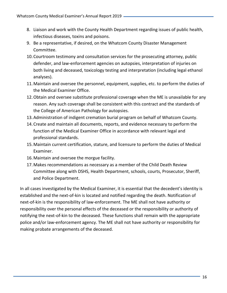- 8. Liaison and work with the County Health Department regarding issues of public health, infectious diseases, toxins and poisons.
- 9. Be a representative, if desired, on the Whatcom County Disaster Management Committee.
- 10.Courtroom testimony and consultation services for the prosecuting attorney, public defender, and law-enforcement agencies on autopsies, interpretation of injuries on both living and deceased, toxicology testing and interpretation (including legal ethanol analyses).
- 11.Maintain and oversee the personnel, equipment, supplies, etc. to perform the duties of the Medical Examiner Office.
- 12.Obtain and oversee substitute professional coverage when the ME is unavailable for any reason. Any such coverage shall be consistent with this contract and the standards of the College of American Pathology for autopsies.
- 13.Administration of indigent cremation burial program on behalf of Whatcom County.
- 14.Create and maintain all documents, reports, and evidence necessary to perform the function of the Medical Examiner Office in accordance with relevant legal and professional standards.
- 15.Maintain current certification, stature, and licensure to perform the duties of Medical Examiner.
- 16.Maintain and oversee the morgue facility.
- 17.Makes recommendations as necessary as a member of the Child Death Review Committee along with DSHS, Health Department, schools, courts, Prosecutor, Sheriff, and Police Department.

In all cases investigated by the Medical Examiner, it is essential that the decedent's identity is established and the next-of-kin is located and notified regarding the death. Notification of next-of-kin is the responsibility of law-enforcement. The ME shall not have authority or responsibility over the personal effects of the deceased or the responsibility or authority of notifying the next-of-kin to the deceased. These functions shall remain with the appropriate police and/or law-enforcement agency. The ME shall not have authority or responsibility for making probate arrangements of the deceased.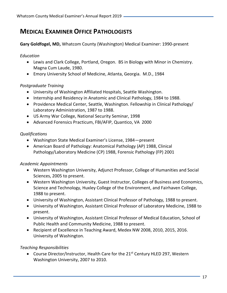### **MEDICAL EXAMINER OFFICE PATHOLOGISTS**

**Gary Goldfogel, MD,** Whatcom County (Washington) Medical Examiner: 1990-present

#### *Education*

- Lewis and Clark College, Portland, Oregon. BS in Biology with Minor in Chemistry. Magna Cum Laude, 1980.
- Emory University School of Medicine, Atlanta, Georgia. M.D., 1984

#### *Postgraduate Training*

- University of Washington Affiliated Hospitals, Seattle Washington.
- Internship and Residency in Anatomic and Clinical Pathology, 1984 to 1988.
- Providence Medical Center, Seattle, Washington. Fellowship in Clinical Pathology/ Laboratory Administration, 1987 to 1988.
- US Army War College, National Security Seminar, 1998
- Advanced Forensics Practicum, FBI/AFIP, Quantico, VA 2000

#### *Qualifications*

- Washington State Medical Examiner's License, 1984—present
- American Board of Pathology: Anatomical Pathology (AP) 1988, Clinical Pathology/Laboratory Medicine (CP) 1988, Forensic Pathology (FP) 2001

#### *Academic Appointments*

- Western Washington University, Adjunct Professor, College of Humanities and Social Sciences, 2005 to present.
- Western Washington University, Guest Instructor, Colleges of Business and Economics, Science and Technology, Huxley College of the Environment, and Fairhaven College, 1988 to present.
- University of Washington, Assistant Clinical Professor of Pathology, 1988 to present.
- University of Washington, Assistant Clinical Professor of Laboratory Medicine, 1988 to present.
- University of Washington, Assistant Clinical Professor of Medical Education, School of Public Health and Community Medicine, 1988 to present.
- Recipient of Excellence in Teaching Award, Medex NW 2008, 2010, 2015, 2016. University of Washington.

#### *Teaching Responsibilities*

• Course Director/Instructor, Health Care for the 21<sup>st</sup> Century HLED 297, Western Washington University, 2007 to 2010.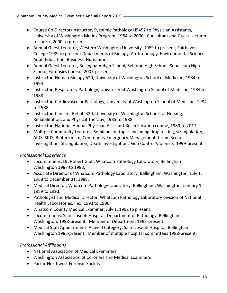- Course Co-Director/Instructor, Systemic Pathology H5452 to Physician Assistants, University of Washington Medex Program, 1984 to 2000. Consultant and Guest Lecturer to course 2000 to present.
- Annual Guest Lecturer, Western Washington University, 1989 to present; Fairhaven College 1989 to present: Departments of Biology, Anthropology, Environmental Science, Adult Education, Business, Humanities.
- Annual Guest Lecturer, Bellingham High School, Sehome High School, Squalicum High School, Forensics Course, 2007-present.
- Instructor, Human Biology 520, University of Washington School of Medicine, 1984 to 1994.
- Instructor, Respiratory Pathology, University of Washington School of Medicine, 1984 to 1988.
- Instructor, Cardiovascular Pathology, University of Washington School of Medicine, 1984 to 1988.
- Instructor, Cancer Rehab 320, University of Washington Schools of Nursing, Rehabilitation, and Physical Therapy, 1985 to 1988.
- Instructor, National Annual Physician Assistant Recertification course, 1989 to 2017.
- Multiple Community Lectures, Seminars on topics including drug testing, strangulation, AIDS, SIDS, Bioterrorism, Community Emergency Management, Crime Scene Investigation, Strangulation, Death Investigation. Gun Control Violence. 1999-present.

#### *Professional Experience*

- Locum tenens: Dr. Robert Gibb, Whatcom Pathology Laboratory, Bellingham, Washington 1987 to 1988.
- Associate Director of Whatcom Pathology Laboratory, Bellingham, Washington, July 1, 1988 to December 31, 1988.
- Medical Director, Whatcom Pathology Laboratory, Bellingham, Washington, January 1, 1989 to 1993.
- Pathologist and Medical Director, Whatcom Pathology Laboratory division of National Health Laboratories, Inc., 1993 to 1996.
- Whatcom County Medical Examiner, July 1, 1992 to present.
- Locum tenens: Saint Joseph Hospital; Department of Pathology, Bellingham, Washington, 1998-present. Member of Department 1988-present.
- Medical Staff Appointment: Active I Category; Saint Joseph Hospital, Bellingham, Washington 1988-present. Member of multiple hospital committees 1988-present.

#### *Professional Affiliations*

- National Association of Medical Examiners.
- Washington Association of Coroners and Medical Examiners
- Pacific Northwest Forensic Society.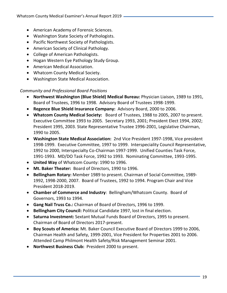- American Academy of Forensic Sciences.
- Washington State Society of Pathologists.
- Pacific Northwest Society of Pathologists.
- American Society of Clinical Pathology.
- College of American Pathologists.
- Hogan Western Eye Pathology Study Group.
- American Medical Association.
- Whatcom County Medical Society.
- Washington State Medical Association.

*Community and Professional Board Positions*

- **Northwest Washington (Blue Shield) Medical Bureau:** Physician Liaison, 1989 to 1991, Board of Trustees, 1996 to 1998. Advisory Board of Trustees 1998-1999.
- **Regence Blue Shield Insurance Company:** Advisory Board, 2000 to 2006.
- **Whatcom County Medical Society:** Board of Trustees, 1988 to 2005, 2007 to present. Executive Committee 1993 to 2005. Secretary 1993, 2001; President Elect 1994, 2002; President 1995, 2003. State Representative Trustee 1996-2001, Legislative Chairman, 1990 to 2005.
- **Washington State Medical Association:** 2nd Vice President 1997-1998, Vice president 1998-1999. Executive Committee, 1997 to 1999. Interspeciality Council Representative, 1992 to 2000, Interspecialty Co-Chairman 1997-1999. Unified Counties Task Force, 1991-1993. MD/DO Task Force, 1992 to 1993. Nominating Committee, 1993-1995.
- **United Way** of Whatcom County: 1990 to 1996.
- **Mt. Baker Theater:** Board of Directors, 1990 to 1996.
- **Bellingham Rotary:** Member 1989 to present. Chairman of Social Committee, 1989- 1992, 1998-2000, 2007. Board of Trustees, 1992 to 1994. Program Chair and Vice President 2018-2019.
- **Chamber of Commerce and Industry**: Bellingham/Whatcom County. Board of Governors, 1993 to 1994.
- **Gang Nail Truss Co.:** Chairman of Board of Directors, 1996 to 1999.
- **Bellingham City Council:** Political Candidate 1997, lost in final election.
- **Saturna Investment:** Sextant Mutual Funds Board of Directors, 1995 to present. Chairman of Board of Directors 2017-present.
- **Boy Scouts of America:** Mt. Baker Council Executive Board of Directors 1999 to 2006, Chairman Health and Safety, 1999-2001, Vice President for Properties 2001 to 2006. Attended Camp Philmont Health Safety/Risk Management Seminar 2001.
- **Northwest Business Club:** President 2000 to present.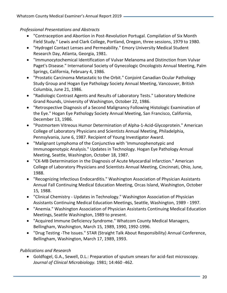#### *Professional Presentations and Abstracts*

- "Contraception and Abortion in Post-Revolution Portugal. Compilation of Six Month Field Study." Lewis and Clark College, Portland, Oregon, three sessions, 1979 to 1980.
- "Hydrogel Contact Lenses and Permeability." Emory University Medical Student Research Day, Atlanta, Georgia, 1981.
- "Immunocytochemical Identification of Vulvar Melanoma and Distinction from Vulvar Paget's Disease." International Society of Gynecologic Oncologists Annual Meeting, Palm Springs, California, February 4, 1986.
- "Prostatic Carcinoma Metastatic to the Orbit." Conjoint Canadian Ocular Pathology Study Group and Hogan Eye Pathology Society Annual Meeting, Vancouver, British Columbia, June 21, 1986.
- "Radiologic Contrast Agents and Results of Laboratory Tests." Laboratory Medicine Grand Rounds, University of Washington, October 22, 1986.
- "Retrospective Diagnosis of a Second Malignancy Following Histologic Examination of the Eye." Hogan Eye Pathology Society Annual Meeting, San Francisco, California, December 13, 1986.
- "Postmortem Vitreous Humor Determination of Alpha-1-Acid-Glycoprotein." American College of Laboratory Physicians and Scientists Annual Meeting, Philadelphia, Pennsylvania, June 6, 1987. Recipient of Young Investigator Award.
- "Malignant Lymphoma of the Conjunctiva with 'Immunophenotypic and Immunogenotypic Analysis." Updates in Technology. Hogan Eye Pathology Annual Meeting, Seattle, Washington, October 18, 1987.
- "CK-MB Determination in the Diagnosis of Acute Myocardial Infarction." American College of Laboratory Physicians and Scientists Annual Meeting, Cincinnati, Ohio, June, 1988.
- "Recognizing Infectious Endocarditis." Washington Association of Physician Assistants Annual Fall Continuing Medical Education Meeting, Orcas Island, Washington, October 15*,* 1988.
- "Clinical Chemistry Updates in Technology." Washington Association of Physician Assistants Continuing Medical Education Meetings, Seattle, Washington, 1989 - 1997.
- "Anemia." Washington Association of Physician Assistants Continuing Medical Education Meetings, Seattle Washington, 1989 to present.
- "Acquired Immune Deficiency Syndrome." Whatcom County Medical Managers, Bellingham, Washington, March 15*,* 1989, 1990, 1992-1996.
- "Drug Testing -The Issues." STAR (Straight Talk About Responsibility) Annual Conference, Bellingham, Washington, March 17, 1989, 1993.

#### *Publications and Research*

• Goldfogel, G.A., Sewell, D.L.: Preparation of sputum smears for acid-fast microscopy. *Journal of Clinical Microbiology.* 1981; 14:460 -462.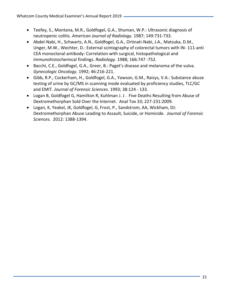- Teefey, S., Montana, M.R., Goldfogel, G.A., Shuman, W.P.: Ultrasonic diagnosis of neutropenic colitis. *American Journal of Radiology.* 1987; 149:731-733.
- Abdel-Nabi, H., Schwartz, A.N., Goldfogel, G.A., Ortinati-Nabi, J.A., Matsuka, D.M., Unger, M.W., Wechter, D.: External scintography of colorectal tumors with IN- 111-anti CEA monoclonal antibody: Correlation with surgical, histopathological and immunohistochemical findings. *Radiology.* 1988; 166:747 -752.
- Bacchi, C.E., Goldfogel, G.A., Greer, B.: Paget's disease and melanoma of the vulva. *Gynecologic Oncology.* 1992; 46:216-221.
- Gibb, R.P., Cockerham, H., Goldfogel, G.A., Yawson, G.M., Raisys, V.A.: Substance abuse testing of urine by GC/MS in scanning mode evaluated by proficiency studies, TLC/GC and EMIT. *Journal of Forensic Sciences.* 1993; 38:124 - 133.
- Logan B, Goldfogel G, Hamilton R, Kuhlman J. J . Five Deaths Resulting from Abuse of Dextromethorphan Sold Over the Internet. Anal Tox 33; 227-231:2009.
- Logan, K, Yeakel, JK, Goldfogel, G, Frost, P., Sandstrom, AA, Wickham, DJ: Dextromethorphan Abuse Leading to Assault, Suicide, or Homicide. *Journal of Forensic Sciences.* 2012: 1388-1394.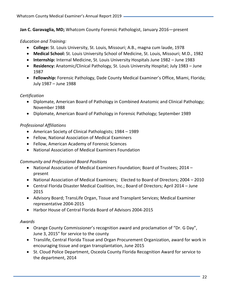**Jan C. Garavaglia, MD;** Whatcom County Forensic Pathologist, January 2016—present

#### *Education and Training:*

- **College:** St. Louis University, St. Louis, Missouri; A.B., magna cum laude, 1978
- **Medical School:** St. Louis University School of Medicine, St. Louis, Missouri; M.D., 1982
- **Internship:** Internal Medicine, St. Louis University Hospitals June 1982 June 1983
- **Residency:** Anatomic/Clinical Pathology, St. Louis University Hospital; July 1983 June 1987
- **Fellowship:** Forensic Pathology, Dade County Medical Examiner's Office, Miami, Florida; July 1987 – June 1988

#### *Certification*

- Diplomate, American Board of Pathology in Combined Anatomic and Clinical Pathology; November 1988
- Diplomate, American Board of Pathology in Forensic Pathology; September 1989

#### *Professional Affiliations*

- American Society of Clinical Pathologists; 1984 1989
- Fellow, National Association of Medical Examiners
- Fellow, American Academy of Forensic Sciences
- National Association of Medical Examiners Foundation

#### *Community and Professional Board Positions*

- National Association of Medical Examiners Foundation; Board of Trustees; 2014 present
- National Association of Medical Examiners; Elected to Board of Directors; 2004 2010
- Central Florida Disaster Medical Coalition, Inc.; Board of Directors; April 2014 June 2015
- Advisory Board; TransLife Organ, Tissue and Transplant Services; Medical Examiner representative 2004-2015
- Harbor House of Central Florida Board of Advisors 2004-2015

#### *Awards*

- Orange County Commissioner's recognition award and proclamation of "Dr. G Day", June 3, 2015" for service to the county
- Translife, Central Florida Tissue and Organ Procurement Organization, award for work in encouraging tissue and organ transplantation, June 2015
- St. Cloud Police Department, Osceola County Florida Recognition Award for service to the department, 2014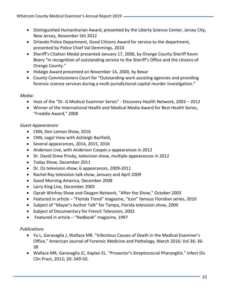- Distinguished Humanitarian Award, presented by the Liberty Science Center, Jersey City, New Jersey, November 5th 2012
- Orlando Police Department, Good Citizens Award for service to the department, presented by Police Chief Val Demmings, 2010
- Sheriff's Citation Medal presented January 17, 2006, by Orange County Sheriff Kevin Beary "in recognition of outstanding service to the Sheriff's Office and the citizens of Orange County."
- Hidalgo Award presented on November 14, 2000, by Bexar
- County Commissioners Court for "Outstanding work assisting agencies and providing forensic science services during a multi-jurisdictional capital murder investigation."

#### *Media:*

- Host of the "Dr. G Medical Examiner Series" Discovery Health Network, 2003 2012
- Winner of the International Health and Medical Media Award for Best Health Series, "Freddie Award," 2008

#### *Guest Appearances:*

- CNN, Don Lemon Show, 2016
- CNN, Legal View with Ashleigh Banfield,
- Several appearances, 2014, 2015, 2016
- Anderson Live, with Anderson Cooper,v appearances in 2012
- Dr. David Drew Pinsky, television show, multiple appearances in 2012
- Today Show, December 2011
- Dr. Oz television show; 6 appearances, 2009-2011
- Rachel Ray television talk show, January and April 2009
- Good Morning America, December 2008
- Larry King Live, December 2005
- Oprah Winfrey Show and Oxygen Network, "After the Show," October 2003
- Featured in article "Florida Trend" magazine, "Icon" famous Floridian series, 2010
- Subject of "Mayor's Author Talk" for Tampa, Florida television show, 2009
- Subject of Documentary for French Television, 2002
- Featured in article "Redbook" magazine, 1997

#### *Publications*

- Yu L, Garavaglia J, Wallace MR. "Infectious Causes of Death in the Medical Examiner's Office." American Journal of Forensic Medicine and Pathology, March 2016; Vol 36: 36- 38
- Wallace MR, Garavaglia JC, Kaplan EL. "Prosector's Streptococcal Pharyngitis." Infect Dis Clin Pract, 2012; 20: 349-50.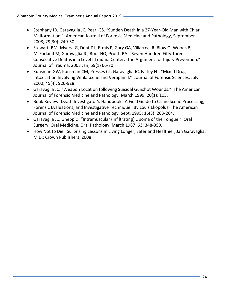- Stephany JD, Garavaglia JC, Pearl GS. "Sudden Death in a 27-Year-Old Man with Chiari Malformation." American Journal of Forensic Medicine and Pathology, September 2008; 29(30): 249-50.
- Stewart, RM, Myers JG, Dent DL, Ermis P, Gary GA, Villarreal R, Blow O, Woods B, McFarland M, Garavaglia JC, Root HO, Pruitt, BA. "Seven Hundred Fifty-three Consecutive Deaths in a Level I Trauma Center. The Argument for Injury Prevention." Journal of Trauma, 2003 Jan; 59(1) 66-70
- Kunsman GW, Kunsman CM, Presses CL, Garavaglia JC, Farley NJ. "Mixed Drug Intoxication Involving Venlafaxine and Verapamil." Journal of Forensic Sciences, July 2000; 45(4): 926-928.
- Garavaglia JC. "Weapon Location following Suicidal Gunshot Wounds." The American Journal of Forensic Medicine and Pathology, March 1999; 20(1): 105.
- Book Review: Death Investigator's Handbook: A Field Guide to Crime Scene Processing, Forensic Evaluations, and Investigative Technique. By Louis Eliopolus. The American Journal of Forensic Medicine and Pathology, Sept. 1995; 16(3): 263-264.
- Garavaglia JC, Gnepp D. "Intramuscular (infiltrating) Lipoma of the Tongue." Oral Surgery, Oral Medicine, Oral Pathology, March 1987; 63: 348-350.
- How Not to Die: Surprising Lessons in Living Longer, Safer and Healthier, Jan Garavaglia, M.D.; Crown Publishers, 2008.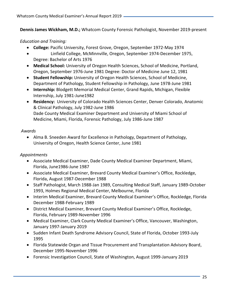**Dennis James Wickham, M.D.;** Whatcom County Forensic Pathologist, November 2019-present

#### *Education and Training:*

- **College:** Pacific University, Forest Grove, Oregon, September 1972-May 1974
- •Linfield College, McMinnville, Oregon, September 1974-December 1975, Degree: Bachelor of Arts 1976
- **Medical School:** University of Oregon Health Sciences, School of Medicine, Portland, Oregon, September 1976-June 1981 Degree: Doctor of Medicine June 12, 1981
- **Student Fellowship:** University of Oregon Health Sciences, School of Medicine, Department of Pathology, Student Fellowship in Pathology, June 1978-June 1981
- **Internship:** Blodgett Memorial Medical Center, Grand Rapids, Michigan, Flexible Internship, July 1981-June1982
- **Residency:** University of Colorado Health Sciences Center, Denver Colorado, Anatomic & Clinical Pathology, July 1982-June 1986 Dade County Medical Examiner Department and University of Miami School of Medicine, Miami, Florida, Forensic Pathology, July 1986-June 1987

#### *Awards*

• Alma B. Sneeden Award for Excellence in Pathology, Department of Pathology, University of Oregon, Health Science Center, June 1981

#### *Appointments*

- Associate Medical Examiner, Dade County Medical Examiner Department, Miami, Florida, June1986-June 1987
- Associate Medical Examiner, Brevard County Medical Examiner's Office, Rockledge, Florida, August 1987-December 1988
- Staff Pathologist, March 1988-Jan 1989, Consulting Medical Staff, January 1989-October 1993, Holmes Regional Medical Center, Melbourne, Florida
- Interim Medical Examiner, Brevard County Medical Examiner's Office, Rockledge, Florida December 1988-February 1989
- District Medical Examiner, Brevard County Medical Examiner's Office, Rockledge, Florida, February 1989-November 1996
- Medical Examiner, Clark County Medical Examiner's Office, Vancouver, Washington, January 1997-January 2019
- Sudden Infant Death Syndrome Advisory Council, State of Florida, October 1993-July 1995
- Florida Statewide Organ and Tissue Procurement and Transplantation Advisory Board, December 1995-November 1996
- Forensic Investigation Council, State of Washington, August 1999-January 2019